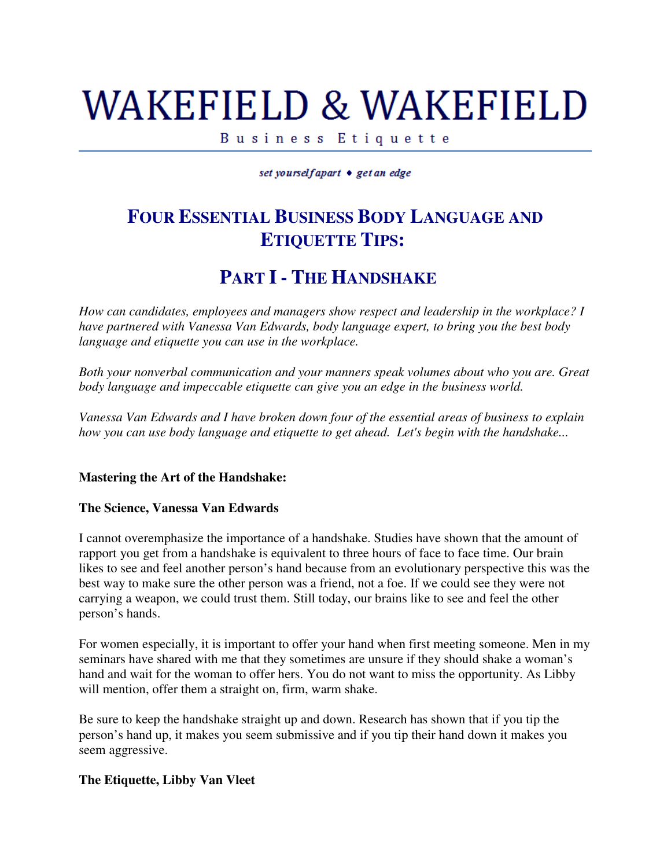# WAKEFIELD & WAKEFIELD

Business Etiquette

set yourselfapart • get an edge

## **FOUR ESSENTIAL BUSINESS BODY LANGUAGE AND ETIQUETTE TIPS:**

### **PART I - THE HANDSHAKE**

*How can candidates, employees and managers show respect and leadership in the workplace? I have partnered with Vanessa Van Edwards, body language expert, to bring you the best body language and etiquette you can use in the workplace.*

*Both your nonverbal communication and your manners speak volumes about who you are. Great body language and impeccable etiquette can give you an edge in the business world.* 

*Vanessa Van Edwards and I have broken down four of the essential areas of business to explain how you can use body language and etiquette to get ahead. Let's begin with the handshake...*

#### **Mastering the Art of the Handshake:**

#### **The Science, Vanessa Van Edwards**

I cannot overemphasize the importance of a handshake. Studies have shown that the amount of rapport you get from a handshake is equivalent to three hours of face to face time. Our brain likes to see and feel another person's hand because from an evolutionary perspective this was the best way to make sure the other person was a friend, not a foe. If we could see they were not carrying a weapon, we could trust them. Still today, our brains like to see and feel the other person's hands.

For women especially, it is important to offer your hand when first meeting someone. Men in my seminars have shared with me that they sometimes are unsure if they should shake a woman's hand and wait for the woman to offer hers. You do not want to miss the opportunity. As Libby will mention, offer them a straight on, firm, warm shake.

Be sure to keep the handshake straight up and down. Research has shown that if you tip the person's hand up, it makes you seem submissive and if you tip their hand down it makes you seem aggressive.

#### **The Etiquette, Libby Van Vleet**